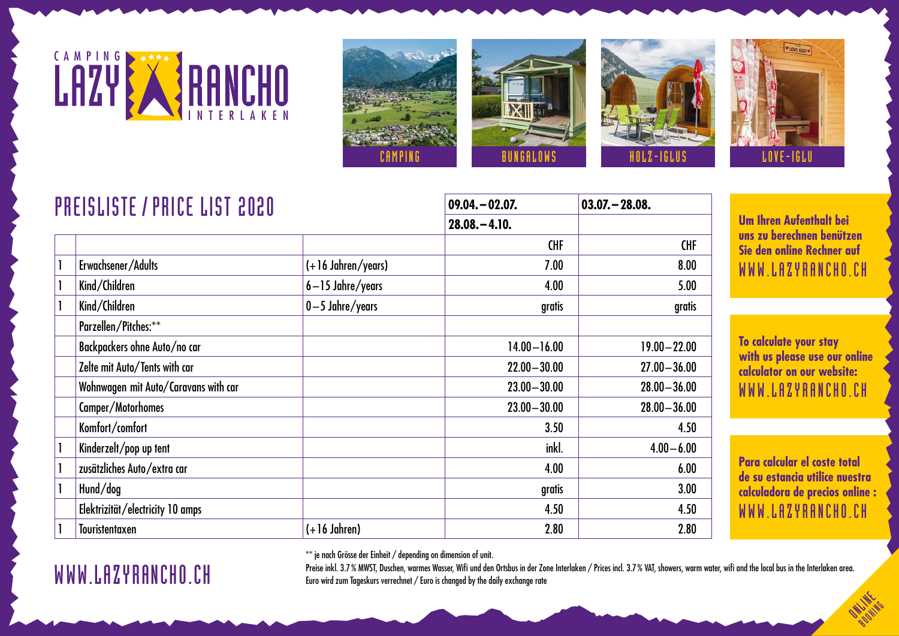





| <b>PREISLISTE / PRICE LIST 2020</b> |                                      |                      | $09.04 - 02.07$ . | $03.07 - 28.08.$ |
|-------------------------------------|--------------------------------------|----------------------|-------------------|------------------|
|                                     |                                      |                      | $28.08 - 4.10.$   |                  |
|                                     |                                      |                      | <b>CHF</b>        | <b>CHF</b>       |
|                                     | Erwachsener/Adults                   | $(+16$ Jahren/years) | 7.00              | 8.00             |
|                                     | Kind/Children                        | $6 - 15$ Jahre/years | 4.00              | 5.00             |
|                                     | Kind/Children                        | $0-5$ Jahre/years    | gratis            | gratis           |
|                                     | Parzellen/Pitches:**                 |                      |                   |                  |
|                                     | Backpackers ohne Auto/no car         |                      | $14.00 - 16.00$   | $19.00 - 22.00$  |
|                                     | Zelte mit Auto/Tents with car        |                      | $22.00 - 30.00$   | $27.00 - 36.00$  |
|                                     | Wohnwagen mit Auto/Caravans with car |                      | $23.00 - 30.00$   | $28.00 - 36.00$  |
|                                     | Camper/Motorhomes                    |                      | $23.00 - 30.00$   | $28.00 - 36.00$  |
|                                     | Komfort/comfort                      |                      | 3.50              | 4.50             |
|                                     | Kinderzelt/pop up tent               |                      | inkl.             | $4.00 - 6.00$    |
|                                     | zusätzliches Auto/extra car          |                      | 4.00              | 6.00             |
|                                     | Hund/dog                             |                      | gratis            | 3.00             |
|                                     | Elektrizität/electricity 10 amps     |                      | 4.50              | 4.50             |
|                                     | <b>Touristentaxen</b>                | $(+16$ Jahren)       | 2.80              | 2.80             |

**Um Ihren Aufenthalt bei uns zu berechnen benützen Sie den online Rechner auf** WWW.LAZYRANCHO.CH

**To calculate your stay with us please use our online calculator on our website:** WWW.LAZYRANCHO.CH

**Para calcular el coste total de su estancia utilice nuestra calculadora de precios online :** WWW.LAZYRANCHO.CH

> **ON LINES BOOKING**

\*\* je nach Grösse der Einheit / depending on dimension of unit.

Preise inkl. 3.7% MWST, Duschen, warmes Wasser, Wifi und den Ortsbus in der Zone Interlaken / Prices incl. 3.7% VAT, showers, warm water, wifi and the local bus in the Interlaken area. Euro wird zum Tageskurs verrechnet / Euro is changed by the daily exchange rate

## WWW.LAZYRANCHO.CH